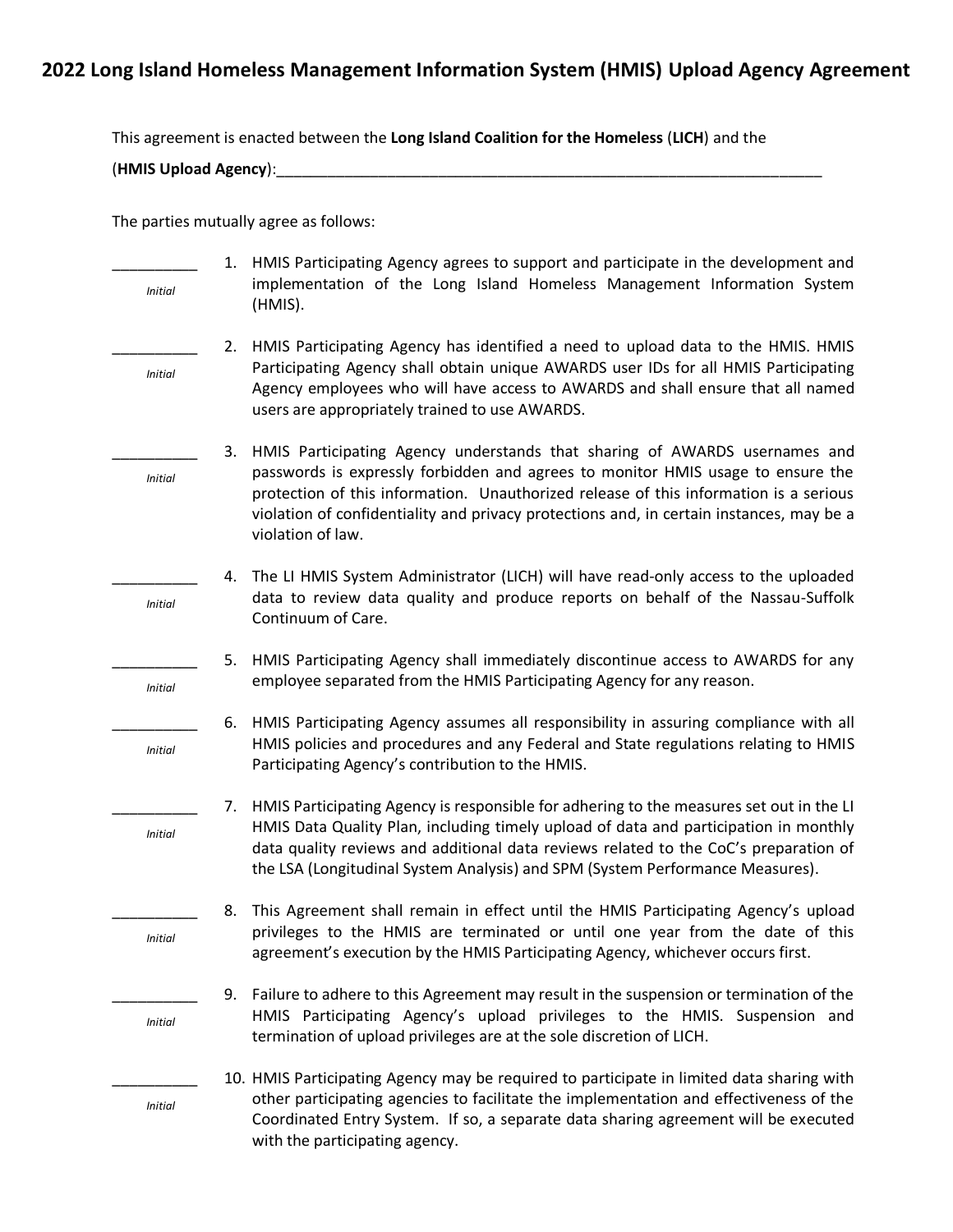# **2022 Long Island Homeless Management Information System (HMIS) Upload Agency Agreement**

This agreement is enacted between the **Long Island Coalition for the Homeless** (**LICH**) and the

(**HMIS Upload Agency**):\_\_\_\_\_\_\_\_\_\_\_\_\_\_\_\_\_\_\_\_\_\_\_\_\_\_\_\_\_\_\_\_\_\_\_\_\_\_\_\_\_\_\_\_\_\_\_\_\_\_\_\_\_\_\_\_\_\_\_\_\_\_\_\_

The parties mutually agree as follows:

|                | 1. | HMIS Participating Agency agrees to support and participate in the development and                                                                                                                                                                                                        |
|----------------|----|-------------------------------------------------------------------------------------------------------------------------------------------------------------------------------------------------------------------------------------------------------------------------------------------|
| <b>Initial</b> |    | implementation of the Long Island Homeless Management Information System<br>(HMIS).                                                                                                                                                                                                       |
|                | 2. | HMIS Participating Agency has identified a need to upload data to the HMIS. HMIS                                                                                                                                                                                                          |
| <b>Initial</b> |    | Participating Agency shall obtain unique AWARDS user IDs for all HMIS Participating<br>Agency employees who will have access to AWARDS and shall ensure that all named<br>users are appropriately trained to use AWARDS.                                                                  |
|                | 3. | HMIS Participating Agency understands that sharing of AWARDS usernames and                                                                                                                                                                                                                |
| <b>Initial</b> |    | passwords is expressly forbidden and agrees to monitor HMIS usage to ensure the<br>protection of this information. Unauthorized release of this information is a serious<br>violation of confidentiality and privacy protections and, in certain instances, may be a<br>violation of law. |
|                | 4. | The LI HMIS System Administrator (LICH) will have read-only access to the uploaded                                                                                                                                                                                                        |
| <b>Initial</b> |    | data to review data quality and produce reports on behalf of the Nassau-Suffolk<br>Continuum of Care.                                                                                                                                                                                     |
|                | 5. | HMIS Participating Agency shall immediately discontinue access to AWARDS for any                                                                                                                                                                                                          |
| <b>Initial</b> |    | employee separated from the HMIS Participating Agency for any reason.                                                                                                                                                                                                                     |
|                | 6. | HMIS Participating Agency assumes all responsibility in assuring compliance with all                                                                                                                                                                                                      |
| <b>Initial</b> |    | HMIS policies and procedures and any Federal and State regulations relating to HMIS<br>Participating Agency's contribution to the HMIS.                                                                                                                                                   |
|                | 7. | HMIS Participating Agency is responsible for adhering to the measures set out in the LI                                                                                                                                                                                                   |
| <b>Initial</b> |    | HMIS Data Quality Plan, including timely upload of data and participation in monthly<br>data quality reviews and additional data reviews related to the CoC's preparation of<br>the LSA (Longitudinal System Analysis) and SPM (System Performance Measures).                             |
|                | 8. | This Agreement shall remain in effect until the HMIS Participating Agency's upload                                                                                                                                                                                                        |
| <b>Initial</b> |    | privileges to the HMIS are terminated or until one year from the date of this<br>agreement's execution by the HMIS Participating Agency, whichever occurs first.                                                                                                                          |
|                | 9. | Failure to adhere to this Agreement may result in the suspension or termination of the                                                                                                                                                                                                    |
| <b>Initial</b> |    | HMIS Participating Agency's upload privileges to the HMIS. Suspension and<br>termination of upload privileges are at the sole discretion of LICH.                                                                                                                                         |
|                |    | 10. HMIS Participating Agency may be required to participate in limited data sharing with                                                                                                                                                                                                 |
| <b>Initial</b> |    | other participating agencies to facilitate the implementation and effectiveness of the<br>Coordinated Entry System. If so, a separate data sharing agreement will be executed<br>with the participating agency.                                                                           |